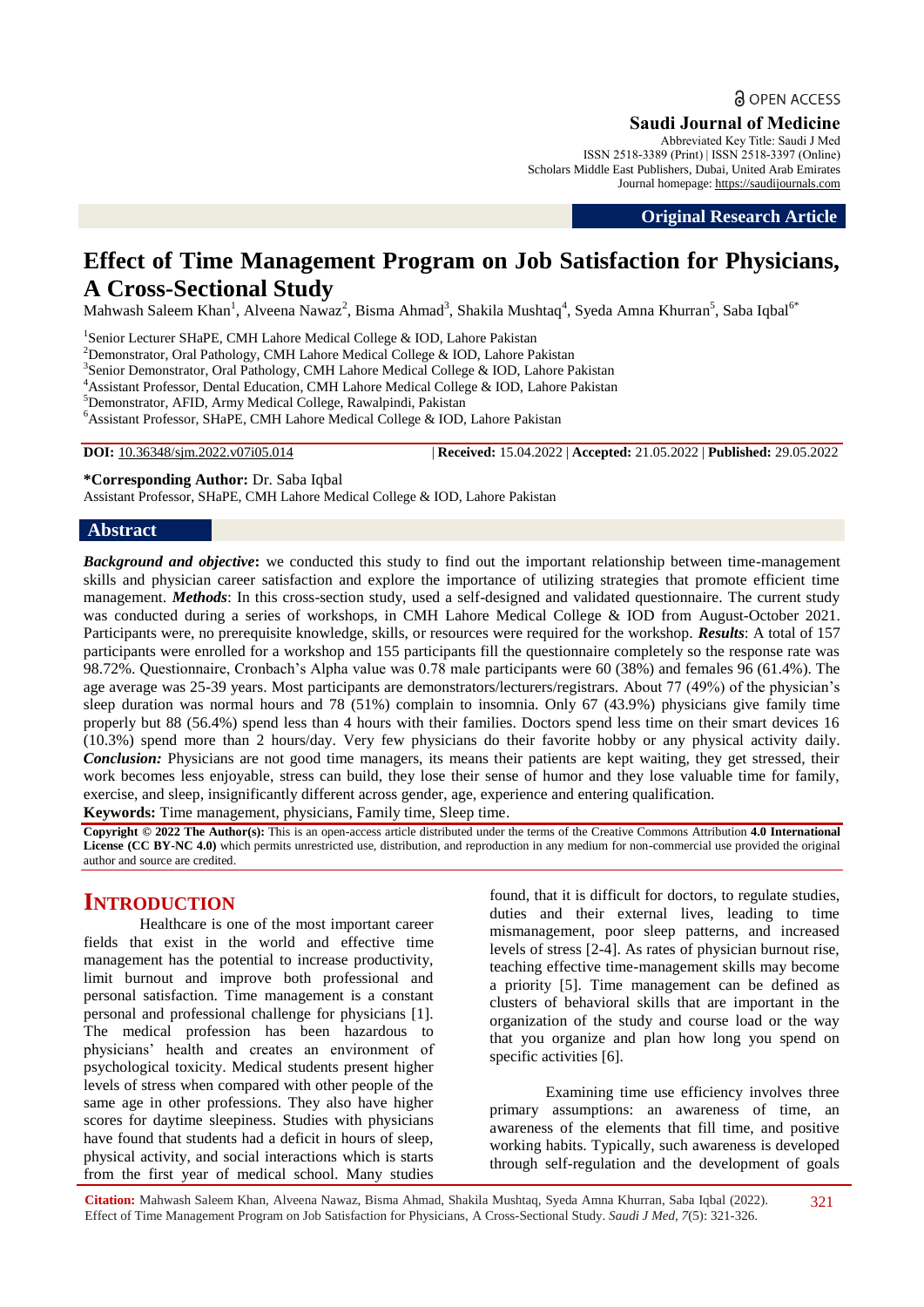## **a** OPEN ACCESS

**Saudi Journal of Medicine**

Abbreviated Key Title: Saudi J Med ISSN 2518-3389 (Print) | ISSN 2518-3397 (Online) Scholars Middle East Publishers, Dubai, United Arab Emirates Journal homepage: https://saudijournals.com

**Original Research Article**

# **Effect of Time Management Program on Job Satisfaction for Physicians, A Cross-Sectional Study**

Mahwash Saleem Khan<sup>1</sup>, Alveena Nawaz<sup>2</sup>, Bisma Ahmad<sup>3</sup>, Shakila Mushtaq<sup>4</sup>, Syeda Amna Khurran<sup>5</sup>, Saba Iqbal<sup>6\*</sup>

<sup>1</sup>Senior Lecturer SHaPE, CMH Lahore Medical College & IOD, Lahore Pakistan

<sup>2</sup>Demonstrator, Oral Pathology, CMH Lahore Medical College & IOD, Lahore Pakistan

<sup>3</sup> Senior Demonstrator, Oral Pathology, CMH Lahore Medical College & IOD, Lahore Pakistan

<sup>4</sup>Assistant Professor, Dental Education, CMH Lahore Medical College & IOD, Lahore Pakistan

<sup>5</sup>Demonstrator, AFID, Army Medical College, Rawalpindi, Pakistan

<sup>6</sup>Assistant Professor, SHaPE, CMH Lahore Medical College & IOD, Lahore Pakistan

**DOI:** 10.36348/sjm.2022.v07i05.014 | **Received:** 15.04.2022 | **Accepted:** 21.05.2022 | **Published:** 29.05.2022

**\*Corresponding Author:** Dr. Saba Iqbal

Assistant Professor, SHaPE, CMH Lahore Medical College & IOD, Lahore Pakistan

### **Abstract**

*Background and objective***:** we conducted this study to find out the important relationship between time-management skills and physician career satisfaction and explore the importance of utilizing strategies that promote efficient time management. *Methods*: In this cross-section study, used a self-designed and validated questionnaire. The current study was conducted during a series of workshops, in CMH Lahore Medical College & IOD from August-October 2021. Participants were, no prerequisite knowledge, skills, or resources were required for the workshop. *Results*: A total of 157 participants were enrolled for a workshop and 155 participants fill the questionnaire completely so the response rate was 98.72%. Questionnaire, Cronbach"s Alpha value was 0.78 male participants were 60 (38%) and females 96 (61.4%). The age average was 25-39 years. Most participants are demonstrators/lecturers/registrars. About 77 (49%) of the physician"s sleep duration was normal hours and 78 (51%) complain to insomnia. Only 67 (43.9%) physicians give family time properly but 88 (56.4%) spend less than 4 hours with their families. Doctors spend less time on their smart devices 16 (10.3%) spend more than 2 hours/day. Very few physicians do their favorite hobby or any physical activity daily. *Conclusion:* Physicians are not good time managers, its means their patients are kept waiting, they get stressed, their work becomes less enjoyable, stress can build, they lose their sense of humor and they lose valuable time for family, exercise, and sleep, insignificantly different across gender, age, experience and entering qualification.

**Keywords:** Time management, physicians, Family time, Sleep time.

**Copyright © 2022 The Author(s):** This is an open-access article distributed under the terms of the Creative Commons Attribution **4.0 International**  License (CC BY-NC 4.0) which permits unrestricted use, distribution, and reproduction in any medium for non-commercial use provided the original author and source are credited.

## **INTRODUCTION**

Healthcare is one of the most important career fields that exist in the world and effective time management has the potential to increase productivity, limit burnout and improve both professional and personal satisfaction. Time management is a constant personal and professional challenge for physicians [1]. The medical profession has been hazardous to physicians" health and creates an environment of psychological toxicity. Medical students present higher levels of stress when compared with other people of the same age in other professions. They also have higher scores for daytime sleepiness. Studies with physicians have found that students had a deficit in hours of sleep, physical activity, and social interactions which is starts from the first year of medical school. Many studies

found, that it is difficult for doctors, to regulate studies, duties and their external lives, leading to time mismanagement, poor sleep patterns, and increased levels of stress [2-4]. As rates of physician burnout rise, teaching effective time-management skills may become a priority [5]. Time management can be defined as clusters of behavioral skills that are important in the organization of the study and course load or the way that you organize and plan how long you spend on specific activities [6].

Examining time use efficiency involves three primary assumptions: an awareness of time, an awareness of the elements that fill time, and positive working habits. Typically, such awareness is developed through self-regulation and the development of goals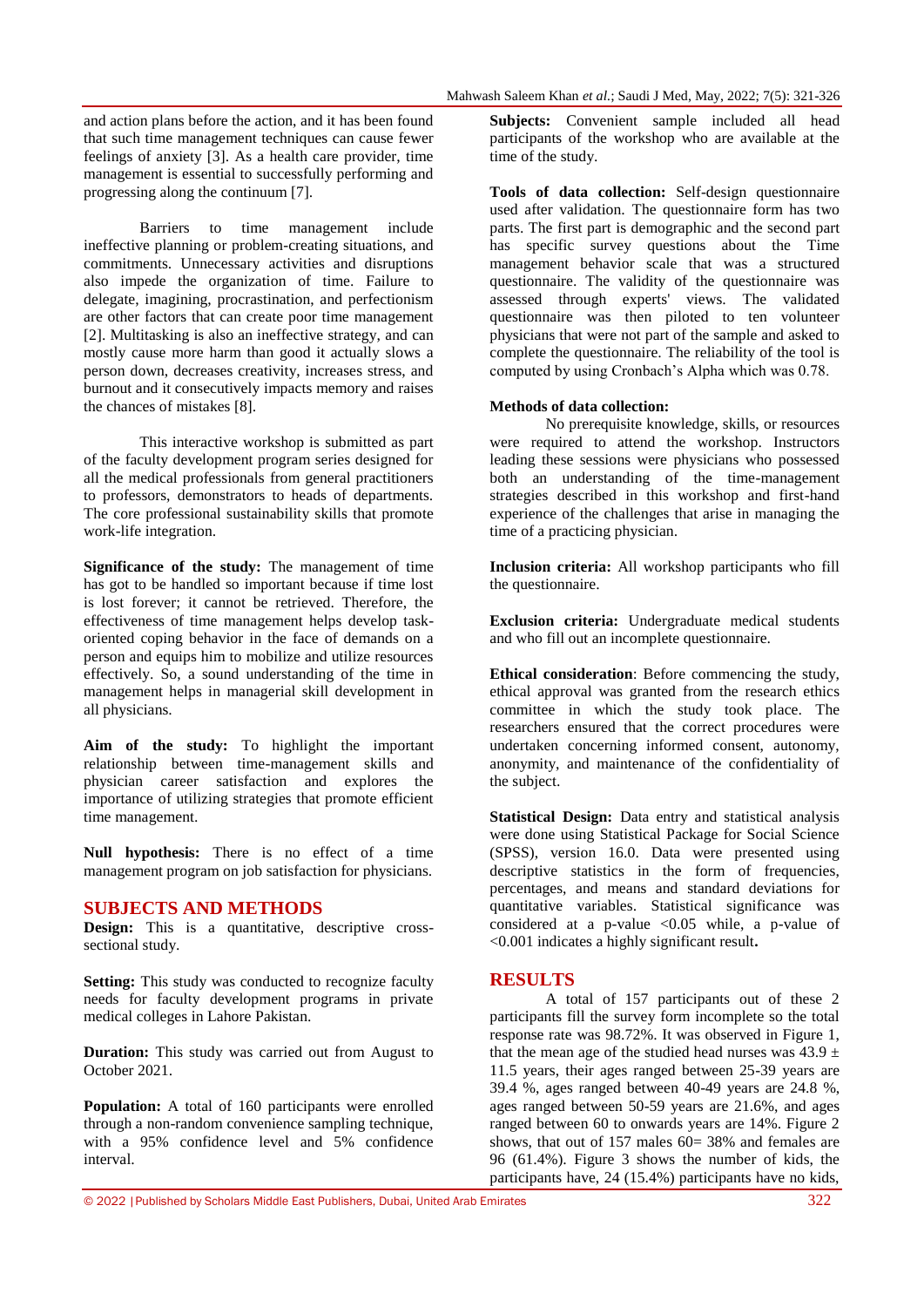and action plans before the action, and it has been found that such time management techniques can cause fewer feelings of anxiety [3]. As a health care provider, time management is essential to successfully performing and progressing along the continuum [7].

Barriers to time management include ineffective planning or problem-creating situations, and commitments. Unnecessary activities and disruptions also impede the organization of time. Failure to delegate, imagining, procrastination, and perfectionism are other factors that can create poor time management [2]. Multitasking is also an ineffective strategy, and can mostly cause more harm than good it actually slows a person down, decreases creativity, increases stress, and burnout and it consecutively impacts memory and raises the chances of mistakes [8].

This interactive workshop is submitted as part of the faculty development program series designed for all the medical professionals from general practitioners to professors, demonstrators to heads of departments. The core professional sustainability skills that promote work-life integration.

**Significance of the study:** The management of time has got to be handled so important because if time lost is lost forever; it cannot be retrieved. Therefore, the effectiveness of time management helps develop taskoriented coping behavior in the face of demands on a person and equips him to mobilize and utilize resources effectively. So, a sound understanding of the time in management helps in managerial skill development in all physicians.

**Aim of the study:** To highlight the important relationship between time-management skills and physician career satisfaction and explores the importance of utilizing strategies that promote efficient time management.

**Null hypothesis:** There is no effect of a time management program on job satisfaction for physicians.

### **SUBJECTS AND METHODS**

**Design:** This is a quantitative, descriptive crosssectional study.

**Setting:** This study was conducted to recognize faculty needs for faculty development programs in private medical colleges in Lahore Pakistan.

**Duration:** This study was carried out from August to October 2021.

**Population:** A total of 160 participants were enrolled through a non-random convenience sampling technique, with a 95% confidence level and 5% confidence interval.

**Subjects:** Convenient sample included all head participants of the workshop who are available at the time of the study.

**Tools of data collection:** Self-design questionnaire used after validation. The questionnaire form has two parts. The first part is demographic and the second part has specific survey questions about the Time management behavior scale that was a structured questionnaire. The validity of the questionnaire was assessed through experts' views. The validated questionnaire was then piloted to ten volunteer physicians that were not part of the sample and asked to complete the questionnaire. The reliability of the tool is computed by using Cronbach"s Alpha which was 0.78.

#### **Methods of data collection:**

No prerequisite knowledge, skills, or resources were required to attend the workshop. Instructors leading these sessions were physicians who possessed both an understanding of the time-management strategies described in this workshop and first-hand experience of the challenges that arise in managing the time of a practicing physician.

**Inclusion criteria:** All workshop participants who fill the questionnaire.

**Exclusion criteria:** Undergraduate medical students and who fill out an incomplete questionnaire.

**Ethical consideration**: Before commencing the study, ethical approval was granted from the research ethics committee in which the study took place. The researchers ensured that the correct procedures were undertaken concerning informed consent, autonomy, anonymity, and maintenance of the confidentiality of the subject.

**Statistical Design:** Data entry and statistical analysis were done using Statistical Package for Social Science (SPSS), version 16.0. Data were presented using descriptive statistics in the form of frequencies, percentages, and means and standard deviations for quantitative variables. Statistical significance was considered at a p-value  $\langle 0.05 \rangle$  while, a p-value of <0.001 indicates a highly significant result**.**

### **RESULTS**

A total of 157 participants out of these 2 participants fill the survey form incomplete so the total response rate was 98.72%. It was observed in Figure 1, that the mean age of the studied head nurses was  $43.9 \pm$ 11.5 years, their ages ranged between 25-39 years are 39.4 %, ages ranged between 40-49 years are 24.8 %, ages ranged between 50-59 years are 21.6%, and ages ranged between 60 to onwards years are 14%. Figure 2 shows, that out of 157 males  $60=38\%$  and females are 96 (61.4%). Figure 3 shows the number of kids, the participants have, 24 (15.4%) participants have no kids,

© 2022 |Published by Scholars Middle East Publishers, Dubai, United Arab Emirates 322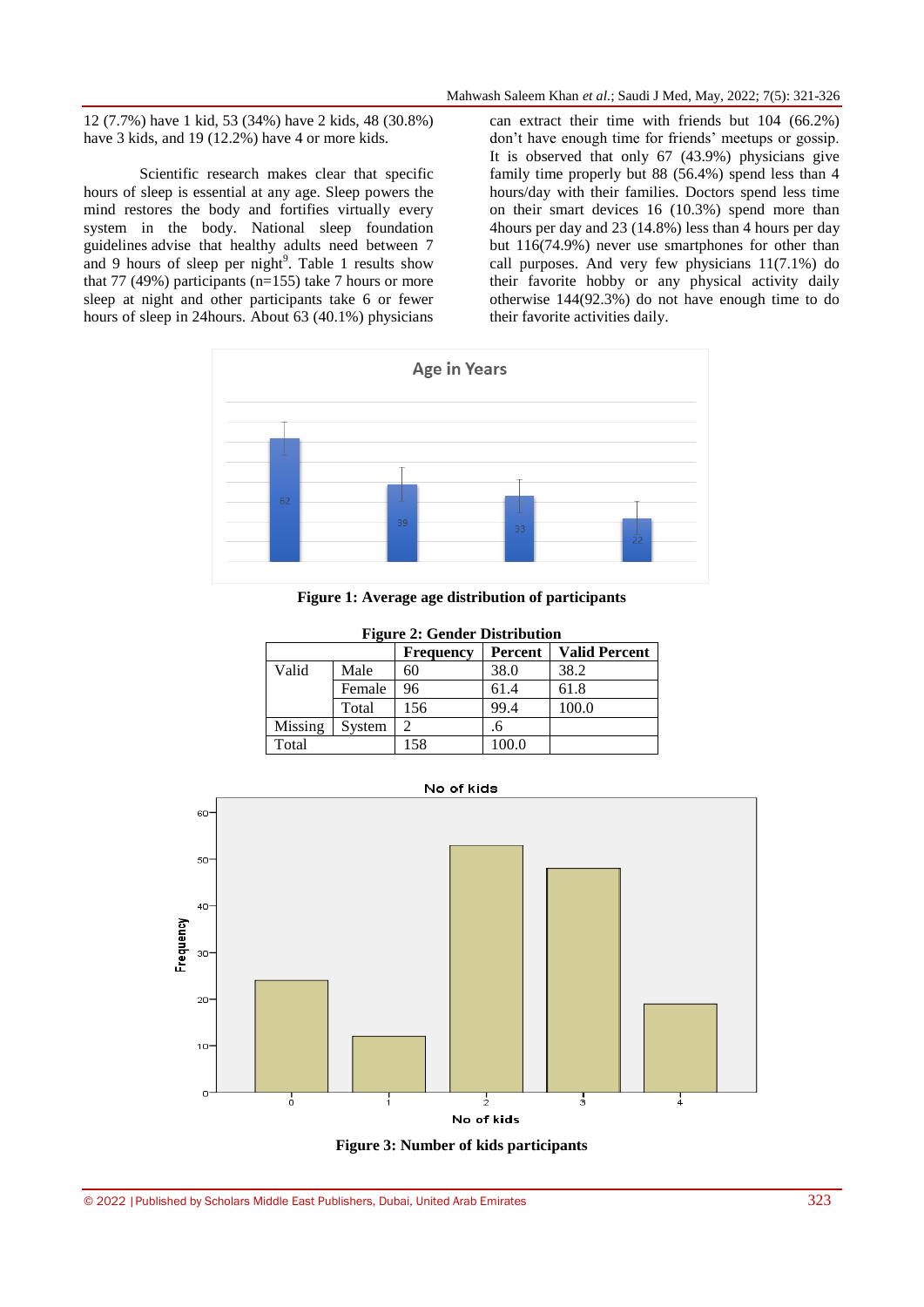12 (7.7%) have 1 kid, 53 (34%) have 2 kids, 48 (30.8%) have 3 kids, and 19 (12.2%) have 4 or more kids.

Scientific research makes clear that specific hours of sleep is essential at any age. Sleep powers the mind restores the body and fortifies virtually every system in the body. National sleep foundation guidelines advise that healthy adults need between 7 and 9 hours of sleep per night<sup>9</sup>. Table 1 results show that 77 (49%) participants ( $n=155$ ) take 7 hours or more sleep at night and other participants take 6 or fewer hours of sleep in 24hours. About 63 (40.1%) physicians

can extract their time with friends but 104 (66.2%) don't have enough time for friends' meetups or gossip. It is observed that only 67 (43.9%) physicians give family time properly but 88 (56.4%) spend less than 4 hours/day with their families. Doctors spend less time on their smart devices 16 (10.3%) spend more than 4hours per day and 23 (14.8%) less than 4 hours per day but 116(74.9%) never use smartphones for other than call purposes. And very few physicians 11(7.1%) do their favorite hobby or any physical activity daily otherwise 144(92.3%) do not have enough time to do their favorite activities daily.



**Figure 1: Average age distribution of participants**

| <b>Figure 2: Gender Distribution</b> |        |                  |         |                      |  |  |  |  |
|--------------------------------------|--------|------------------|---------|----------------------|--|--|--|--|
|                                      |        | <b>Frequency</b> | Percent | <b>Valid Percent</b> |  |  |  |  |
| Valid                                | Male   | 60               | 38.0    | 38.2                 |  |  |  |  |
|                                      | Female | 96               | 61.4    | 61.8                 |  |  |  |  |
|                                      | Total  | 156              | 99.4    | 100.0                |  |  |  |  |
| Missing                              | System |                  | .6      |                      |  |  |  |  |
| Total                                |        | 158              | 100.0   |                      |  |  |  |  |

No of kids



**Figure 3: Number of kids participants**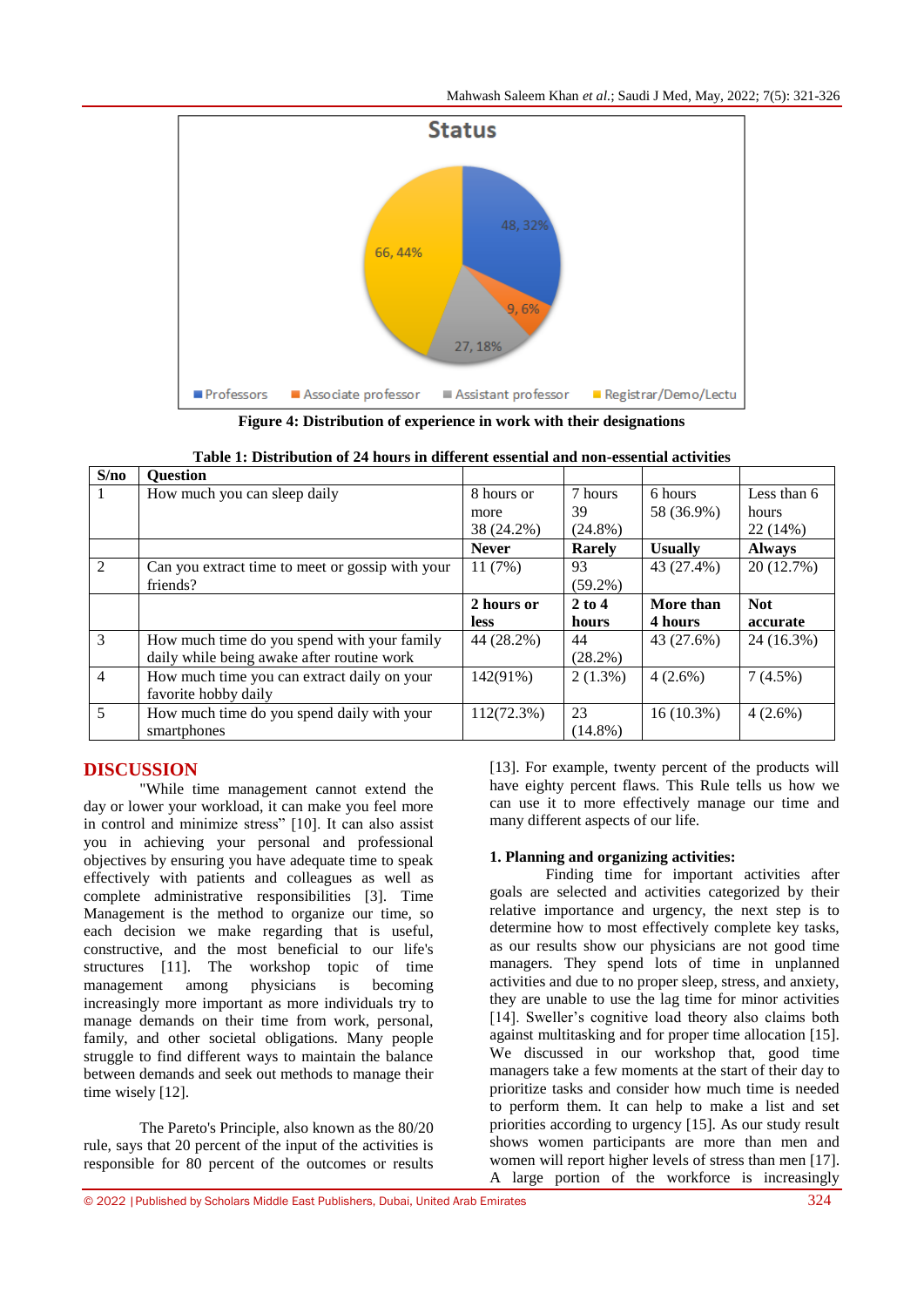Mahwash Saleem Khan *et al.*; Saudi J Med, May, 2022; 7(5): 321-326



**Figure 4: Distribution of experience in work with their designations**

| S/no           | <b>Ouestion</b>                                  |                    |               |                       |                      |
|----------------|--------------------------------------------------|--------------------|---------------|-----------------------|----------------------|
|                | How much you can sleep daily                     | 8 hours or<br>more | 7 hours<br>39 | 6 hours<br>58 (36.9%) | Less than 6<br>hours |
|                |                                                  | 38 (24.2%)         | $(24.8\%)$    |                       | 22 (14%)             |
|                |                                                  | <b>Never</b>       | Rarely        | <b>Usually</b>        | <b>Always</b>        |
| 2              | Can you extract time to meet or gossip with your | 11(7%)             | 93            | 43 (27.4%)            | 20 (12.7%)           |
|                | friends?                                         |                    | $(59.2\%)$    |                       |                      |
|                |                                                  | 2 hours or         | $2$ to 4      | More than             | <b>Not</b>           |
|                |                                                  | <b>less</b>        | hours         | 4 hours               | accurate             |
| 3              | How much time do you spend with your family      | 44 (28.2%)         | 44            | 43 (27.6%)            | 24 (16.3%)           |
|                | daily while being awake after routine work       |                    | (28.2%)       |                       |                      |
| $\overline{4}$ | How much time you can extract daily on your      | 142(91%)           | $2(1.3\%)$    | $4(2.6\%)$            | $7(4.5\%)$           |
|                | favorite hobby daily                             |                    |               |                       |                      |
| 5              | How much time do you spend daily with your       | $112(72.3\%)$      | 23            | $16(10.3\%)$          | $4(2.6\%)$           |
|                | smartphones                                      |                    | $(14.8\%)$    |                       |                      |

## **DISCUSSION**

"While time management cannot extend the day or lower your workload, it can make you feel more in control and minimize stress" [10]. It can also assist you in achieving your personal and professional objectives by ensuring you have adequate time to speak effectively with patients and colleagues as well as complete administrative responsibilities [3]. Time Management is the method to organize our time, so each decision we make regarding that is useful, constructive, and the most beneficial to our life's structures [11]. The workshop topic of time management among physicians is becoming increasingly more important as more individuals try to manage demands on their time from work, personal, family, and other societal obligations. Many people struggle to find different ways to maintain the balance between demands and seek out methods to manage their time wisely [12].

The Pareto's Principle, also known as the 80/20 rule, says that 20 percent of the input of the activities is responsible for 80 percent of the outcomes or results

[13]. For example, twenty percent of the products will have eighty percent flaws. This Rule tells us how we can use it to more effectively manage our time and many different aspects of our life.

## **1. Planning and organizing activities:**

Finding time for important activities after goals are selected and activities categorized by their relative importance and urgency, the next step is to determine how to most effectively complete key tasks, as our results show our physicians are not good time managers. They spend lots of time in unplanned activities and due to no proper sleep, stress, and anxiety, they are unable to use the lag time for minor activities [14]. Sweller's cognitive load theory also claims both against multitasking and for proper time allocation [15]. We discussed in our workshop that, good time managers take a few moments at the start of their day to prioritize tasks and consider how much time is needed to perform them. It can help to make a list and set priorities according to urgency [15]. As our study result shows women participants are more than men and women will report higher levels of stress than men [17]. A large portion of the workforce is increasingly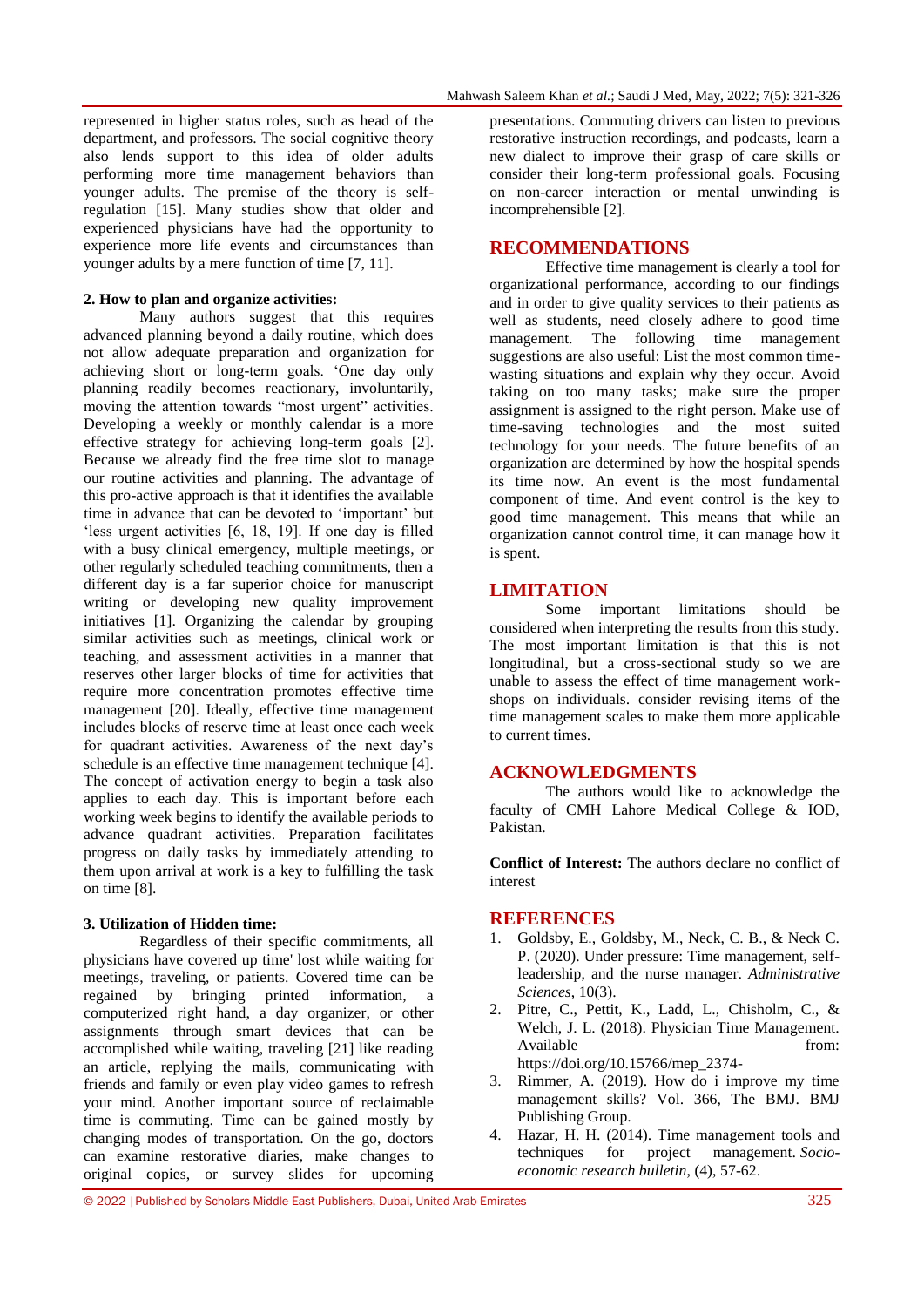represented in higher status roles, such as head of the department, and professors. The social cognitive theory also lends support to this idea of older adults performing more time management behaviors than younger adults. The premise of the theory is selfregulation [15]. Many studies show that older and experienced physicians have had the opportunity to experience more life events and circumstances than younger adults by a mere function of time [7, 11].

### **2. How to plan and organize activities:**

Many authors suggest that this requires advanced planning beyond a daily routine, which does not allow adequate preparation and organization for achieving short or long-term goals. "One day only planning readily becomes reactionary, involuntarily, moving the attention towards "most urgent" activities. Developing a weekly or monthly calendar is a more effective strategy for achieving long-term goals [2]. Because we already find the free time slot to manage our routine activities and planning. The advantage of this pro-active approach is that it identifies the available time in advance that can be devoted to "important" but 'less urgent activities [6, 18, 19]. If one day is filled with a busy clinical emergency, multiple meetings, or other regularly scheduled teaching commitments, then a different day is a far superior choice for manuscript writing or developing new quality improvement initiatives [1]. Organizing the calendar by grouping similar activities such as meetings, clinical work or teaching, and assessment activities in a manner that reserves other larger blocks of time for activities that require more concentration promotes effective time management [20]. Ideally, effective time management includes blocks of reserve time at least once each week for quadrant activities. Awareness of the next day"s schedule is an effective time management technique [4]. The concept of activation energy to begin a task also applies to each day. This is important before each working week begins to identify the available periods to advance quadrant activities. Preparation facilitates progress on daily tasks by immediately attending to them upon arrival at work is a key to fulfilling the task on time [8].

### **3. Utilization of Hidden time:**

Regardless of their specific commitments, all physicians have covered up time' lost while waiting for meetings, traveling, or patients. Covered time can be regained by bringing printed information, a computerized right hand, a day organizer, or other assignments through smart devices that can be accomplished while waiting, traveling [21] like reading an article, replying the mails, communicating with friends and family or even play video games to refresh your mind. Another important source of reclaimable time is commuting. Time can be gained mostly by changing modes of transportation. On the go, doctors can examine restorative diaries, make changes to original copies, or survey slides for upcoming

presentations. Commuting drivers can listen to previous restorative instruction recordings, and podcasts, learn a new dialect to improve their grasp of care skills or consider their long-term professional goals. Focusing on non-career interaction or mental unwinding is incomprehensible [2].

## **RECOMMENDATIONS**

Effective time management is clearly a tool for organizational performance, according to our findings and in order to give quality services to their patients as well as students, need closely adhere to good time management. The following time management suggestions are also useful: List the most common timewasting situations and explain why they occur. Avoid taking on too many tasks; make sure the proper assignment is assigned to the right person. Make use of time-saving technologies and the most suited technology for your needs. The future benefits of an organization are determined by how the hospital spends its time now. An event is the most fundamental component of time. And event control is the key to good time management. This means that while an organization cannot control time, it can manage how it is spent.

## **LIMITATION**

Some important limitations should be considered when interpreting the results from this study. The most important limitation is that this is not longitudinal, but a cross-sectional study so we are unable to assess the effect of time management workshops on individuals. consider revising items of the time management scales to make them more applicable to current times.

## **ACKNOWLEDGMENTS**

The authors would like to acknowledge the faculty of CMH Lahore Medical College & IOD, Pakistan.

**Conflict of Interest:** The authors declare no conflict of interest

#### **REFERENCES**

- 1. Goldsby, E., Goldsby, M., Neck, C. B., & Neck C. P. (2020). Under pressure: Time management, selfleadership, and the nurse manager. *Administrative Sciences*, 10(3).
- 2. Pitre, C., Pettit, K., Ladd, L., Chisholm, C., & Welch, J. L. (2018). Physician Time Management. Available from:

https://doi.org/10.15766/mep\_2374-

- 3. Rimmer, A. (2019). How do i improve my time management skills? Vol. 366, The BMJ. BMJ Publishing Group.
- 4. Hazar, H. H. (2014). Time management tools and techniques for project management. *Socioeconomic research bulletin*, (4), 57-62.